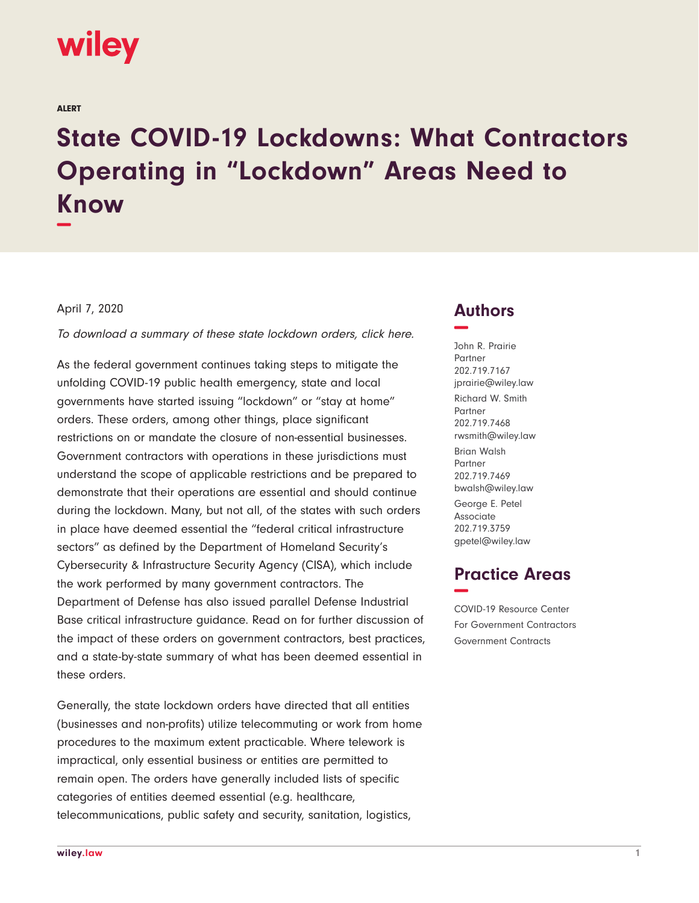

ALERT

# **State COVID-19 Lockdowns: What Contractors Operating in "Lockdown" Areas Need to Know −**

#### April 7, 2020

To download a summary of these state lockdown orders, click here.

As the federal government continues taking steps to mitigate the unfolding COVID-19 public health emergency, state and local governments have started issuing "lockdown" or "stay at home" orders. These orders, among other things, place significant restrictions on or mandate the closure of non-essential businesses. Government contractors with operations in these jurisdictions must understand the scope of applicable restrictions and be prepared to demonstrate that their operations are essential and should continue during the lockdown. Many, but not all, of the states with such orders in place have deemed essential the "federal critical infrastructure sectors" as defined by the Department of Homeland Security's Cybersecurity & Infrastructure Security Agency (CISA), which include the work performed by many government contractors. The Department of Defense has also issued parallel Defense Industrial Base critical infrastructure guidance. Read on for further discussion of the impact of these orders on government contractors, best practices, and a state-by-state summary of what has been deemed essential in these orders.

Generally, the state lockdown orders have directed that all entities (businesses and non-profits) utilize telecommuting or work from home procedures to the maximum extent practicable. Where telework is impractical, only essential business or entities are permitted to remain open. The orders have generally included lists of specific categories of entities deemed essential (e.g. healthcare, telecommunications, public safety and security, sanitation, logistics,

# **Authors −**

John R. Prairie Partner 202.719.7167 jprairie@wiley.law Richard W. Smith Partner 202.719.7468 rwsmith@wiley.law Brian Walsh Partner 202.719.7469 bwalsh@wiley.law George E. Petel Associate 202.719.3759 gpetel@wiley.law

# **Practice Areas −**

COVID-19 Resource Center For Government Contractors Government Contracts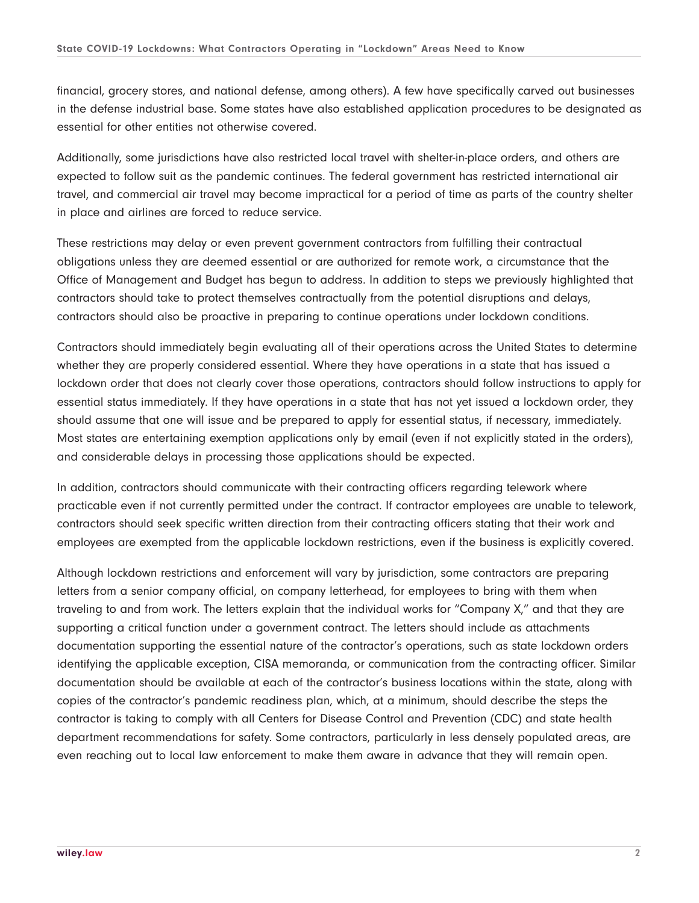financial, grocery stores, and national defense, among others). A few have specifically carved out businesses in the defense industrial base. Some states have also established application procedures to be designated as essential for other entities not otherwise covered.

Additionally, some jurisdictions have also restricted local travel with shelter-in-place orders, and others are expected to follow suit as the pandemic continues. The federal government has restricted international air travel, and commercial air travel may become impractical for a period of time as parts of the country shelter in place and airlines are forced to reduce service.

These restrictions may delay or even prevent government contractors from fulfilling their contractual obligations unless they are deemed essential or are authorized for remote work, a circumstance that the Office of Management and Budget has begun to address. In addition to steps we previously highlighted that contractors should take to protect themselves contractually from the potential disruptions and delays, contractors should also be proactive in preparing to continue operations under lockdown conditions.

Contractors should immediately begin evaluating all of their operations across the United States to determine whether they are properly considered essential. Where they have operations in a state that has issued a lockdown order that does not clearly cover those operations, contractors should follow instructions to apply for essential status immediately. If they have operations in a state that has not yet issued a lockdown order, they should assume that one will issue and be prepared to apply for essential status, if necessary, immediately. Most states are entertaining exemption applications only by email (even if not explicitly stated in the orders), and considerable delays in processing those applications should be expected.

In addition, contractors should communicate with their contracting officers regarding telework where practicable even if not currently permitted under the contract. If contractor employees are unable to telework, contractors should seek specific written direction from their contracting officers stating that their work and employees are exempted from the applicable lockdown restrictions, even if the business is explicitly covered.

Although lockdown restrictions and enforcement will vary by jurisdiction, some contractors are preparing letters from a senior company official, on company letterhead, for employees to bring with them when traveling to and from work. The letters explain that the individual works for "Company X," and that they are supporting a critical function under a government contract. The letters should include as attachments documentation supporting the essential nature of the contractor's operations, such as state lockdown orders identifying the applicable exception, CISA memoranda, or communication from the contracting officer. Similar documentation should be available at each of the contractor's business locations within the state, along with copies of the contractor's pandemic readiness plan, which, at a minimum, should describe the steps the contractor is taking to comply with all Centers for Disease Control and Prevention (CDC) and state health department recommendations for safety. Some contractors, particularly in less densely populated areas, are even reaching out to local law enforcement to make them aware in advance that they will remain open.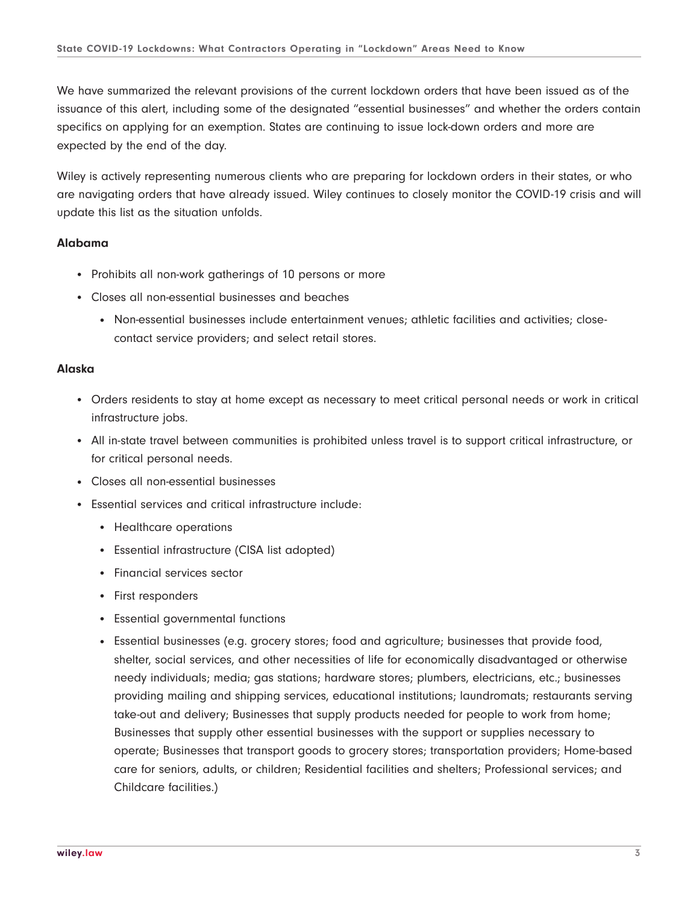We have summarized the relevant provisions of the current lockdown orders that have been issued as of the issuance of this alert, including some of the designated "essential businesses" and whether the orders contain specifics on applying for an exemption. States are continuing to issue lock-down orders and more are expected by the end of the day.

Wiley is actively representing numerous clients who are preparing for lockdown orders in their states, or who are navigating orders that have already issued. Wiley continues to closely monitor the COVID-19 crisis and will update this list as the situation unfolds.

#### **Alabama**

- Prohibits all non-work gatherings of 10 persons or more
- Closes all non-essential businesses and beaches
	- Non-essential businesses include entertainment venues; athletic facilities and activities; closecontact service providers; and select retail stores.

#### **Alaska**

- Orders residents to stay at home except as necessary to meet critical personal needs or work in critical infrastructure jobs.
- All in-state travel between communities is prohibited unless travel is to support critical infrastructure, or for critical personal needs.
- Closes all non-essential businesses
- Essential services and critical infrastructure include:
	- Healthcare operations
	- Essential infrastructure (CISA list adopted)
	- Financial services sector
	- First responders
	- Essential governmental functions
	- Essential businesses (e.g. grocery stores; food and agriculture; businesses that provide food, shelter, social services, and other necessities of life for economically disadvantaged or otherwise needy individuals; media; gas stations; hardware stores; plumbers, electricians, etc.; businesses providing mailing and shipping services, educational institutions; laundromats; restaurants serving take-out and delivery; Businesses that supply products needed for people to work from home; Businesses that supply other essential businesses with the support or supplies necessary to operate; Businesses that transport goods to grocery stores; transportation providers; Home-based care for seniors, adults, or children; Residential facilities and shelters; Professional services; and Childcare facilities.)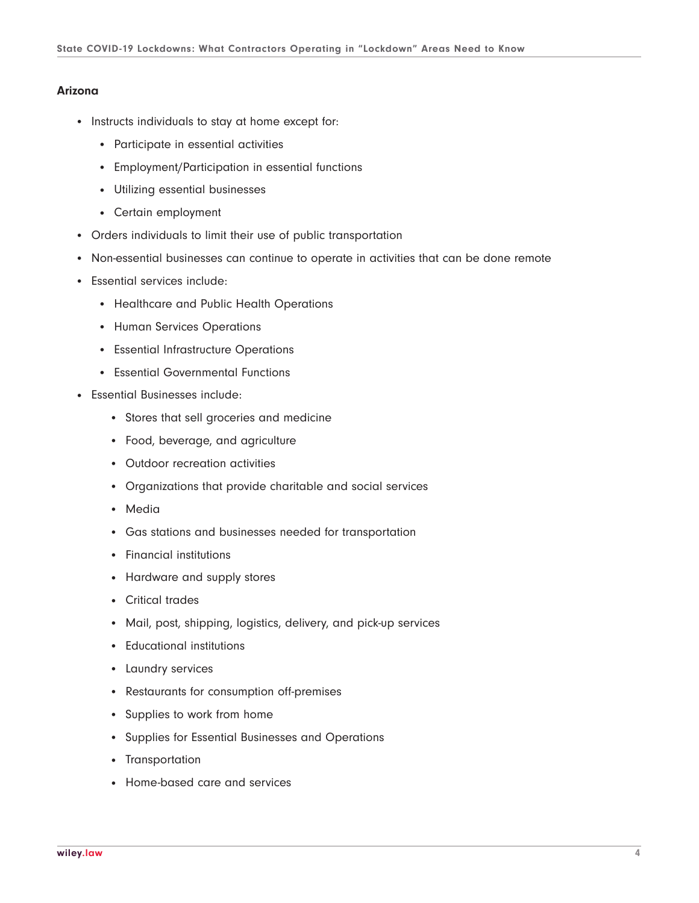#### **Arizona**

- Instructs individuals to stay at home except for:
	- Participate in essential activities
	- Employment/Participation in essential functions
	- Utilizing essential businesses
	- Certain employment
- Orders individuals to limit their use of public transportation
- Non-essential businesses can continue to operate in activities that can be done remote
- Essential services include:
	- Healthcare and Public Health Operations
	- Human Services Operations
	- Essential Infrastructure Operations
	- Essential Governmental Functions
- Essential Businesses include:
	- Stores that sell groceries and medicine
	- Food, beverage, and agriculture
	- Outdoor recreation activities
	- Organizations that provide charitable and social services
	- Media
	- Gas stations and businesses needed for transportation
	- Financial institutions
	- Hardware and supply stores
	- Critical trades
	- Mail, post, shipping, logistics, delivery, and pick-up services
	- Educational institutions
	- Laundry services
	- Restaurants for consumption off-premises
	- Supplies to work from home
	- Supplies for Essential Businesses and Operations
	- Transportation
	- Home-based care and services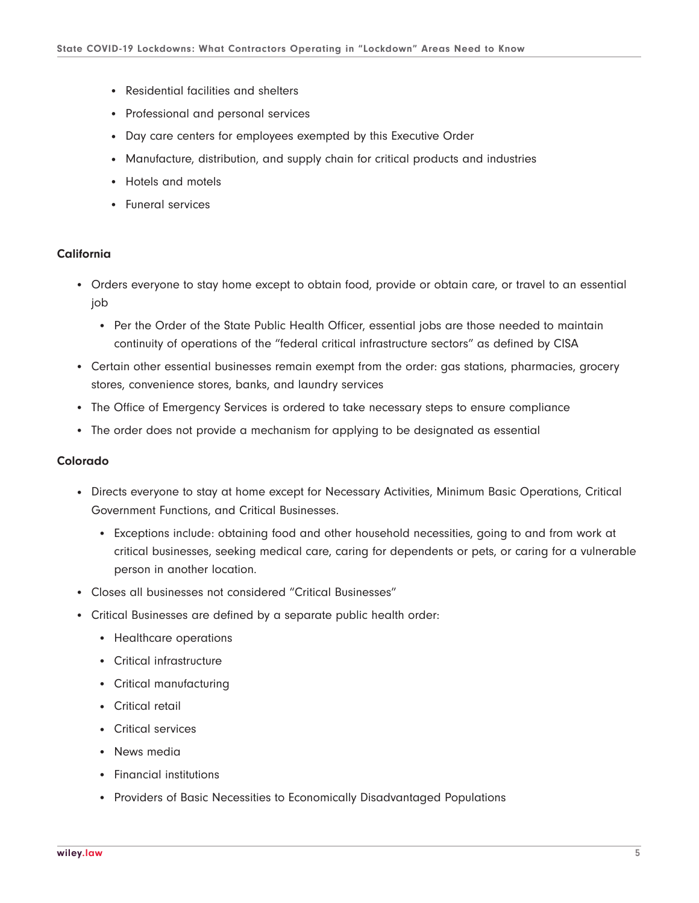- Residential facilities and shelters
- Professional and personal services
- Day care centers for employees exempted by this Executive Order
- Manufacture, distribution, and supply chain for critical products and industries
- Hotels and motels
- Funeral services

#### **California**

- Orders everyone to stay home except to obtain food, provide or obtain care, or travel to an essential job
	- Per the Order of the State Public Health Officer, essential jobs are those needed to maintain continuity of operations of the "federal critical infrastructure sectors" as defined by CISA
- Certain other essential businesses remain exempt from the order: gas stations, pharmacies, grocery stores, convenience stores, banks, and laundry services
- The Office of Emergency Services is ordered to take necessary steps to ensure compliance
- The order does not provide a mechanism for applying to be designated as essential

#### **Colorado**

- Directs everyone to stay at home except for Necessary Activities, Minimum Basic Operations, Critical Government Functions, and Critical Businesses.
	- Exceptions include: obtaining food and other household necessities, going to and from work at critical businesses, seeking medical care, caring for dependents or pets, or caring for a vulnerable person in another location.
- Closes all businesses not considered "Critical Businesses"
- Critical Businesses are defined by a separate public health order:
	- Healthcare operations
	- Critical infrastructure
	- Critical manufacturing
	- Critical retail
	- Critical services
	- News media
	- Financial institutions
	- Providers of Basic Necessities to Economically Disadvantaged Populations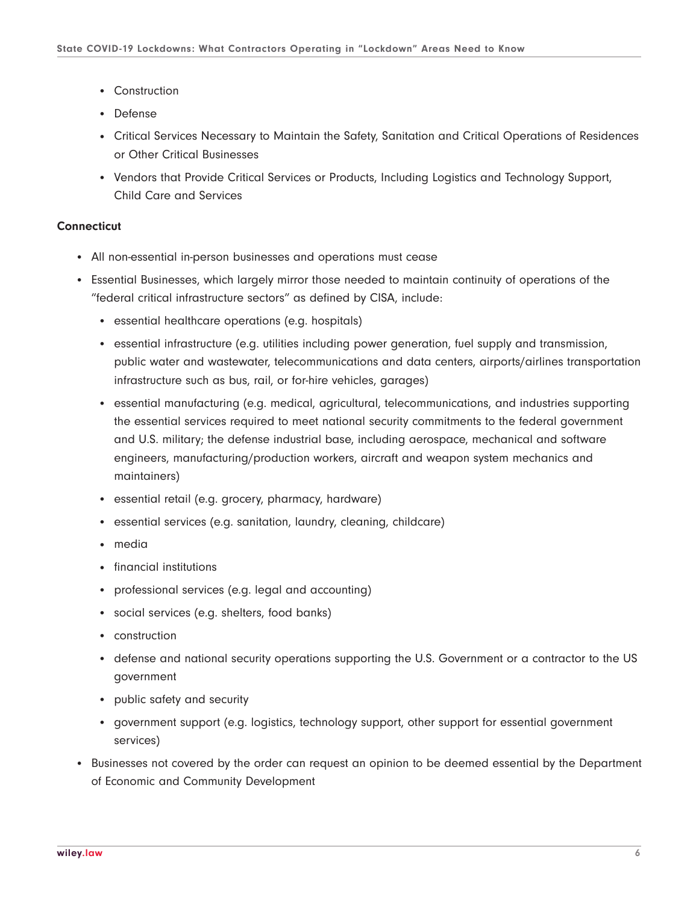- Construction
- Defense
- Critical Services Necessary to Maintain the Safety, Sanitation and Critical Operations of Residences or Other Critical Businesses
- Vendors that Provide Critical Services or Products, Including Logistics and Technology Support, Child Care and Services

## **Connecticut**

- All non-essential in-person businesses and operations must cease
- Essential Businesses, which largely mirror those needed to maintain continuity of operations of the "federal critical infrastructure sectors" as defined by CISA, include:
	- essential healthcare operations (e.g. hospitals)
	- essential infrastructure (e.g. utilities including power generation, fuel supply and transmission, public water and wastewater, telecommunications and data centers, airports/airlines transportation infrastructure such as bus, rail, or for-hire vehicles, garages)
	- essential manufacturing (e.g. medical, agricultural, telecommunications, and industries supporting the essential services required to meet national security commitments to the federal government and U.S. military; the defense industrial base, including aerospace, mechanical and software engineers, manufacturing/production workers, aircraft and weapon system mechanics and maintainers)
	- essential retail (e.g. grocery, pharmacy, hardware)
	- essential services (e.g. sanitation, laundry, cleaning, childcare)
	- media
	- financial institutions
	- professional services (e.g. legal and accounting)
	- social services (e.g. shelters, food banks)
	- construction
	- defense and national security operations supporting the U.S. Government or a contractor to the US government
	- public safety and security
	- government support (e.g. logistics, technology support, other support for essential government services)
- Businesses not covered by the order can request an opinion to be deemed essential by the Department of Economic and Community Development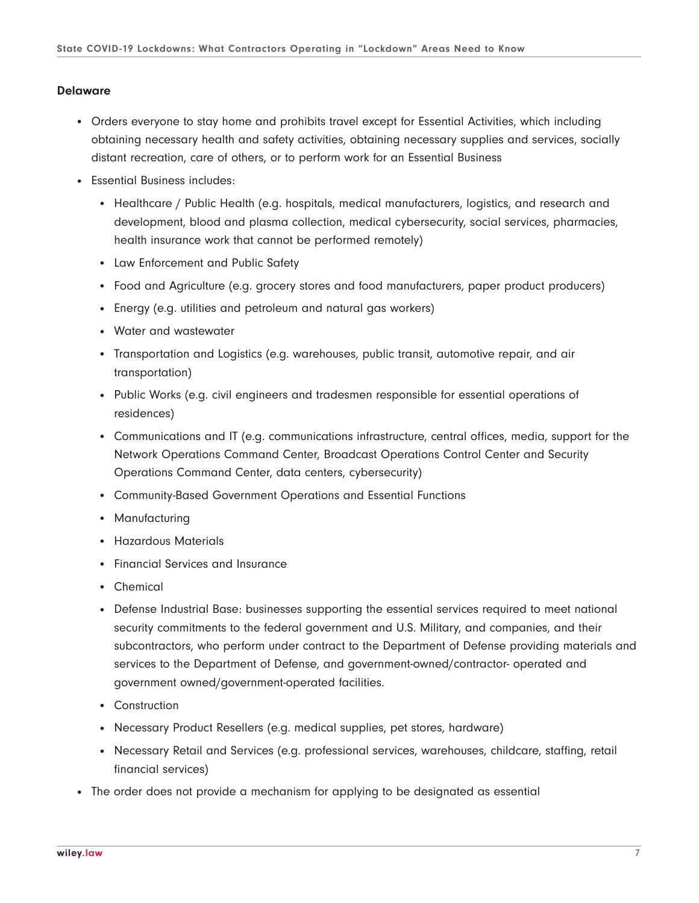#### **Delaware**

- Orders everyone to stay home and prohibits travel except for Essential Activities, which including obtaining necessary health and safety activities, obtaining necessary supplies and services, socially distant recreation, care of others, or to perform work for an Essential Business
- Essential Business includes:
	- Healthcare / Public Health (e.g. hospitals, medical manufacturers, logistics, and research and development, blood and plasma collection, medical cybersecurity, social services, pharmacies, health insurance work that cannot be performed remotely)
	- Law Enforcement and Public Safety
	- Food and Agriculture (e.g. grocery stores and food manufacturers, paper product producers)
	- Energy (e.g. utilities and petroleum and natural gas workers)
	- Water and wastewater
	- Transportation and Logistics (e.g. warehouses, public transit, automotive repair, and air transportation)
	- Public Works (e.g. civil engineers and tradesmen responsible for essential operations of residences)
	- Communications and IT (e.g. communications infrastructure, central offices, media, support for the Network Operations Command Center, Broadcast Operations Control Center and Security Operations Command Center, data centers, cybersecurity)
	- Community-Based Government Operations and Essential Functions
	- Manufacturing
	- Hazardous Materials
	- Financial Services and Insurance
	- Chemical
	- Defense Industrial Base: businesses supporting the essential services required to meet national security commitments to the federal government and U.S. Military, and companies, and their subcontractors, who perform under contract to the Department of Defense providing materials and services to the Department of Defense, and government-owned/contractor- operated and government owned/government-operated facilities.
	- Construction
	- Necessary Product Resellers (e.g. medical supplies, pet stores, hardware)
	- Necessary Retail and Services (e.g. professional services, warehouses, childcare, staffing, retail financial services)
- The order does not provide a mechanism for applying to be designated as essential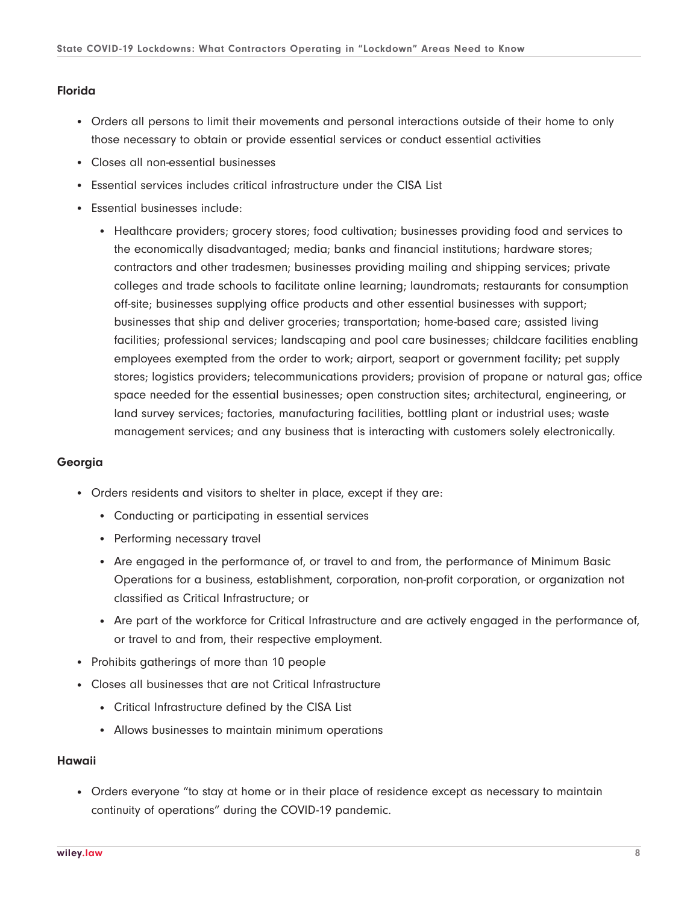#### **Florida**

- Orders all persons to limit their movements and personal interactions outside of their home to only those necessary to obtain or provide essential services or conduct essential activities
- Closes all non-essential businesses
- Essential services includes critical infrastructure under the CISA List
- Essential businesses include:
	- Healthcare providers; grocery stores; food cultivation; businesses providing food and services to the economically disadvantaged; media; banks and financial institutions; hardware stores; contractors and other tradesmen; businesses providing mailing and shipping services; private colleges and trade schools to facilitate online learning; laundromats; restaurants for consumption off-site; businesses supplying office products and other essential businesses with support; businesses that ship and deliver groceries; transportation; home-based care; assisted living facilities; professional services; landscaping and pool care businesses; childcare facilities enabling employees exempted from the order to work; airport, seaport or government facility; pet supply stores; logistics providers; telecommunications providers; provision of propane or natural gas; office space needed for the essential businesses; open construction sites; architectural, engineering, or land survey services; factories, manufacturing facilities, bottling plant or industrial uses; waste management services; and any business that is interacting with customers solely electronically.

# **Georgia**

- Orders residents and visitors to shelter in place, except if they are:
	- Conducting or participating in essential services
	- Performing necessary travel
	- Are engaged in the performance of, or travel to and from, the performance of Minimum Basic Operations for a business, establishment, corporation, non-profit corporation, or organization not classified as Critical Infrastructure; or
	- Are part of the workforce for Critical Infrastructure and are actively engaged in the performance of, or travel to and from, their respective employment.
- Prohibits gatherings of more than 10 people
- Closes all businesses that are not Critical Infrastructure
	- Critical Infrastructure defined by the CISA List
	- Allows businesses to maintain minimum operations

#### **Hawaii**

• Orders everyone "to stay at home or in their place of residence except as necessary to maintain continuity of operations" during the COVID-19 pandemic.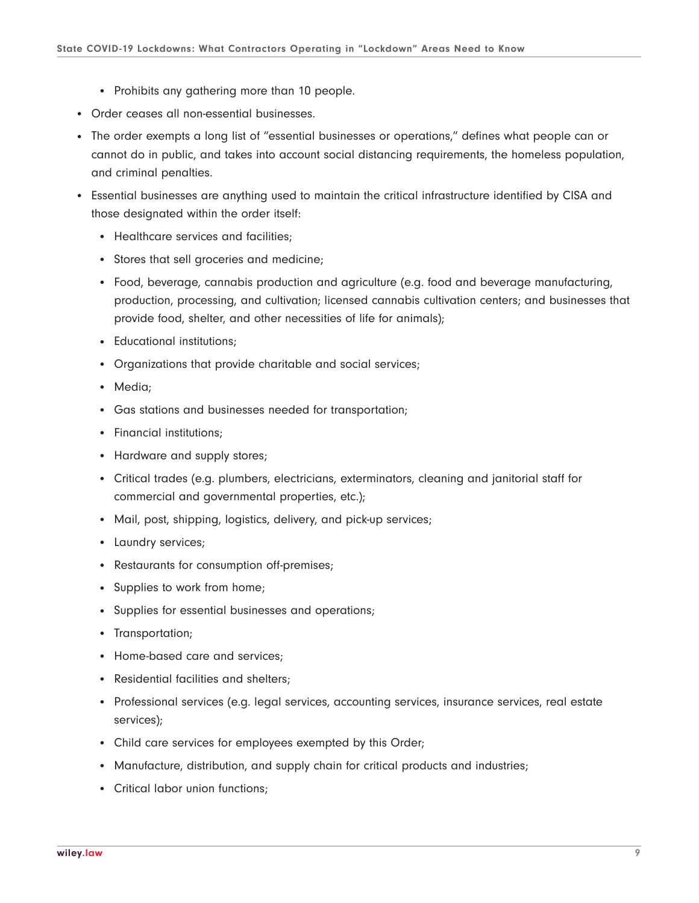- Prohibits any gathering more than 10 people.
- Order ceases all non-essential businesses.
- The order exempts a long list of "essential businesses or operations," defines what people can or cannot do in public, and takes into account social distancing requirements, the homeless population, and criminal penalties.
- Essential businesses are anything used to maintain the critical infrastructure identified by CISA and those designated within the order itself:
	- Healthcare services and facilities;
	- Stores that sell groceries and medicine;
	- Food, beverage, cannabis production and agriculture (e.g. food and beverage manufacturing, production, processing, and cultivation; licensed cannabis cultivation centers; and businesses that provide food, shelter, and other necessities of life for animals);
	- Educational institutions:
	- Organizations that provide charitable and social services;
	- Media;
	- Gas stations and businesses needed for transportation;
	- Financial institutions;
	- Hardware and supply stores;
	- Critical trades (e.g. plumbers, electricians, exterminators, cleaning and janitorial staff for commercial and governmental properties, etc.);
	- Mail, post, shipping, logistics, delivery, and pick-up services;
	- Laundry services;
	- Restaurants for consumption off-premises;
	- Supplies to work from home;
	- Supplies for essential businesses and operations;
	- Transportation;
	- Home-based care and services;
	- Residential facilities and shelters;
	- Professional services (e.g. legal services, accounting services, insurance services, real estate services);
	- Child care services for employees exempted by this Order;
	- Manufacture, distribution, and supply chain for critical products and industries;
	- Critical labor union functions;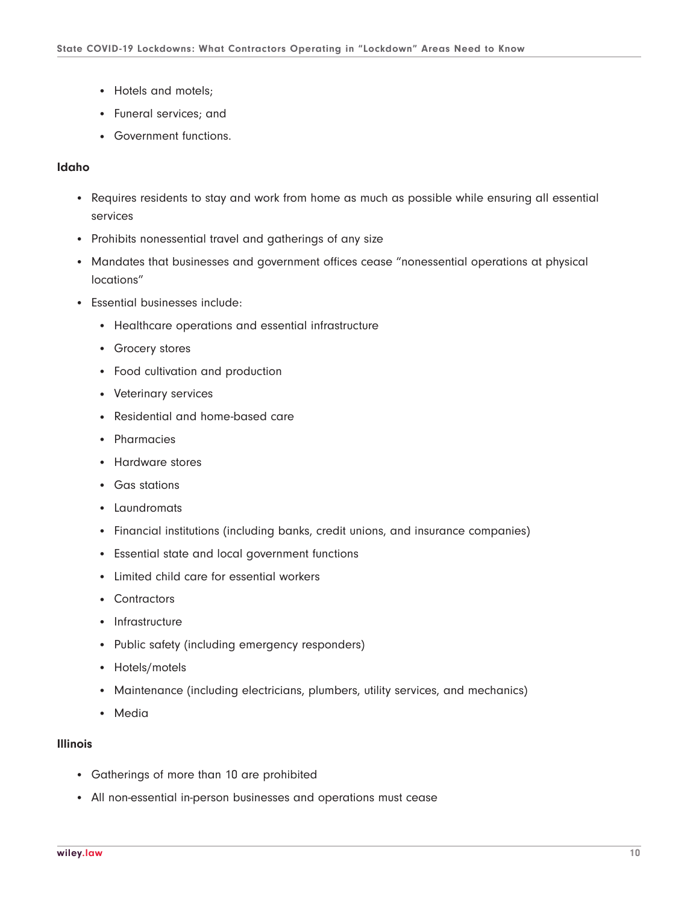- Hotels and motels;
- Funeral services; and
- Government functions.

# **Idaho**

- Requires residents to stay and work from home as much as possible while ensuring all essential services
- Prohibits nonessential travel and gatherings of any size
- Mandates that businesses and government offices cease "nonessential operations at physical locations"
- Essential businesses include:
	- Healthcare operations and essential infrastructure
	- Grocery stores
	- Food cultivation and production
	- Veterinary services
	- Residential and home-based care
	- Pharmacies
	- Hardware stores
	- Gas stations
	- Laundromats
	- Financial institutions (including banks, credit unions, and insurance companies)
	- Essential state and local government functions
	- Limited child care for essential workers
	- Contractors
	- Infrastructure
	- Public safety (including emergency responders)
	- Hotels/motels
	- Maintenance (including electricians, plumbers, utility services, and mechanics)
	- Media

#### **Illinois**

- Gatherings of more than 10 are prohibited
- All non-essential in-person businesses and operations must cease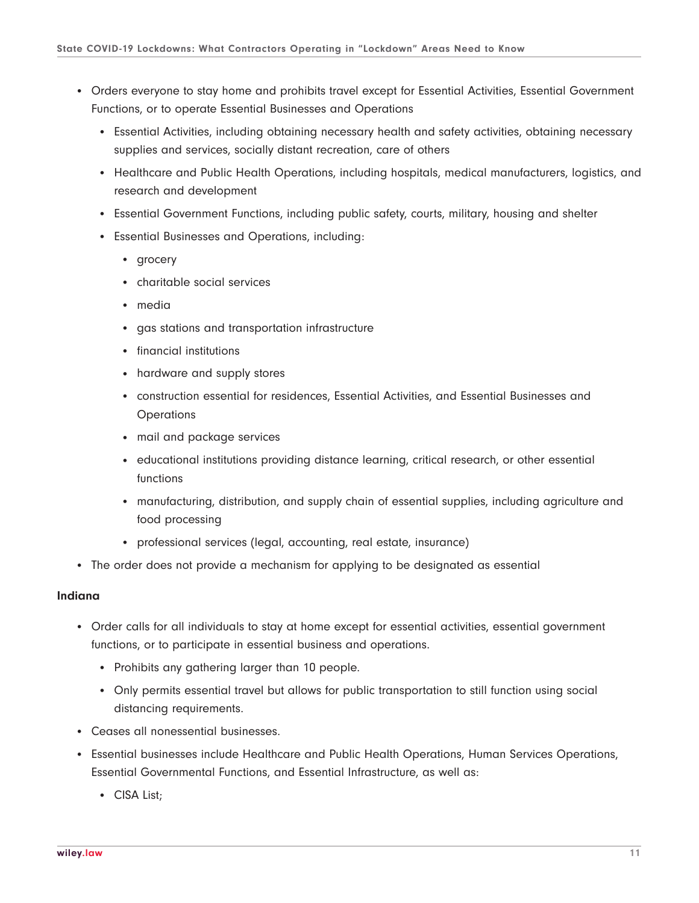- Orders everyone to stay home and prohibits travel except for Essential Activities, Essential Government Functions, or to operate Essential Businesses and Operations
	- Essential Activities, including obtaining necessary health and safety activities, obtaining necessary supplies and services, socially distant recreation, care of others
	- Healthcare and Public Health Operations, including hospitals, medical manufacturers, logistics, and research and development
	- Essential Government Functions, including public safety, courts, military, housing and shelter
	- Essential Businesses and Operations, including:
		- grocery
		- charitable social services
		- media
		- gas stations and transportation infrastructure
		- financial institutions
		- hardware and supply stores
		- construction essential for residences, Essential Activities, and Essential Businesses and **Operations**
		- mail and package services
		- educational institutions providing distance learning, critical research, or other essential functions
		- manufacturing, distribution, and supply chain of essential supplies, including agriculture and food processing
		- professional services (legal, accounting, real estate, insurance)
- The order does not provide a mechanism for applying to be designated as essential

# **Indiana**

- Order calls for all individuals to stay at home except for essential activities, essential government functions, or to participate in essential business and operations.
	- Prohibits any gathering larger than 10 people.
	- Only permits essential travel but allows for public transportation to still function using social distancing requirements.
- Ceases all nonessential businesses.
- Essential businesses include Healthcare and Public Health Operations, Human Services Operations, Essential Governmental Functions, and Essential Infrastructure, as well as:
	- CISA List;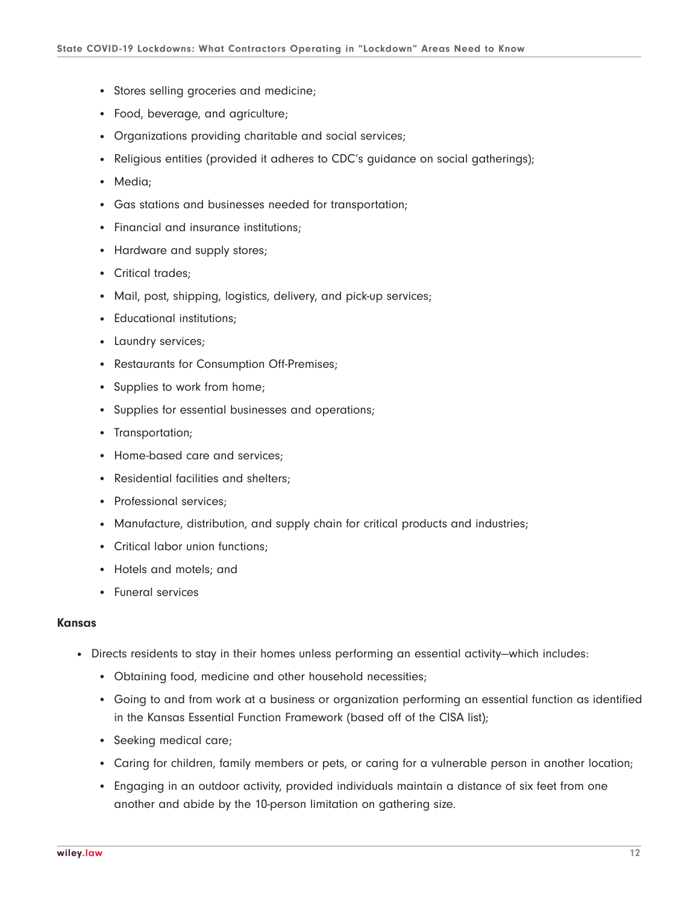- Stores selling groceries and medicine;
- Food, beverage, and agriculture;
- Organizations providing charitable and social services;
- Religious entities (provided it adheres to CDC's quidance on social gatherings);
- Media;
- Gas stations and businesses needed for transportation;
- Financial and insurance institutions;
- Hardware and supply stores;
- Critical trades:
- Mail, post, shipping, logistics, delivery, and pick-up services;
- Educational institutions;
- Laundry services;
- Restaurants for Consumption Off-Premises;
- Supplies to work from home;
- Supplies for essential businesses and operations;
- Transportation;
- Home-based care and services;
- Residential facilities and shelters:
- Professional services;
- Manufacture, distribution, and supply chain for critical products and industries;
- Critical labor union functions;
- Hotels and motels; and
- Funeral services

#### **Kansas**

- Directs residents to stay in their homes unless performing an essential activity—which includes:
	- Obtaining food, medicine and other household necessities;
	- Going to and from work at a business or organization performing an essential function as identified in the Kansas Essential Function Framework (based off of the CISA list);
	- Seeking medical care;
	- Caring for children, family members or pets, or caring for a vulnerable person in another location;
	- Engaging in an outdoor activity, provided individuals maintain a distance of six feet from one another and abide by the 10-person limitation on gathering size.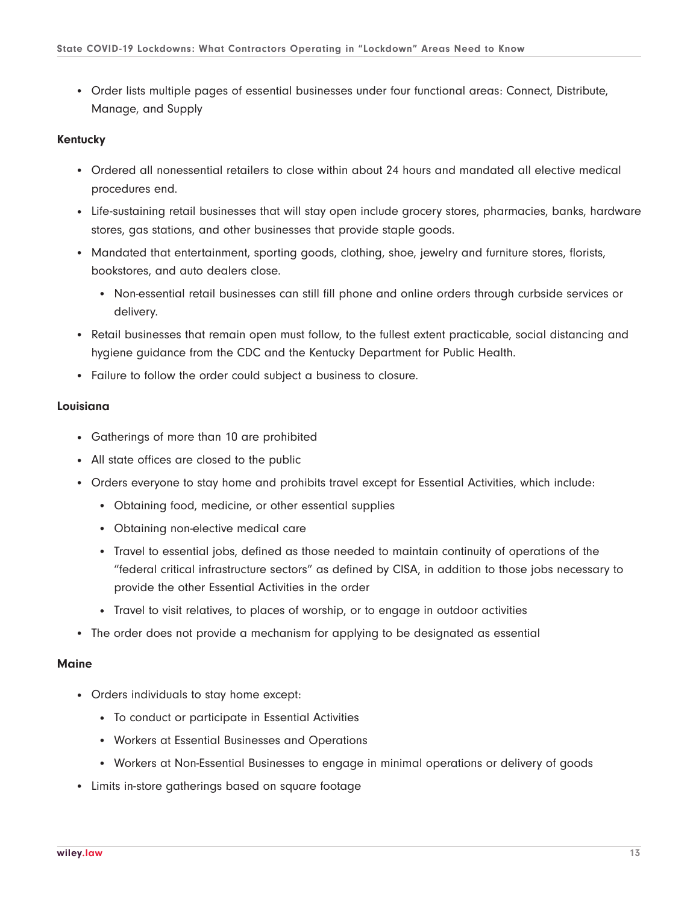● Order lists multiple pages of essential businesses under four functional areas: Connect, Distribute, Manage, and Supply

#### **Kentucky**

- Ordered all nonessential retailers to close within about 24 hours and mandated all elective medical procedures end.
- Life-sustaining retail businesses that will stay open include grocery stores, pharmacies, banks, hardware stores, gas stations, and other businesses that provide staple goods.
- Mandated that entertainment, sporting goods, clothing, shoe, jewelry and furniture stores, florists, bookstores, and auto dealers close.
	- Non-essential retail businesses can still fill phone and online orders through curbside services or delivery.
- Retail businesses that remain open must follow, to the fullest extent practicable, social distancing and hygiene guidance from the CDC and the Kentucky Department for Public Health.
- Failure to follow the order could subject a business to closure.

# **Louisiana**

- Gatherings of more than 10 are prohibited
- All state offices are closed to the public
- Orders everyone to stay home and prohibits travel except for Essential Activities, which include:
	- Obtaining food, medicine, or other essential supplies
	- Obtaining non-elective medical care
	- Travel to essential jobs, defined as those needed to maintain continuity of operations of the "federal critical infrastructure sectors" as defined by CISA, in addition to those jobs necessary to provide the other Essential Activities in the order
	- Travel to visit relatives, to places of worship, or to engage in outdoor activities
- The order does not provide a mechanism for applying to be designated as essential

#### **Maine**

- Orders individuals to stay home except:
	- To conduct or participate in Essential Activities
	- Workers at Essential Businesses and Operations
	- Workers at Non-Essential Businesses to engage in minimal operations or delivery of goods
- Limits in-store gatherings based on square footage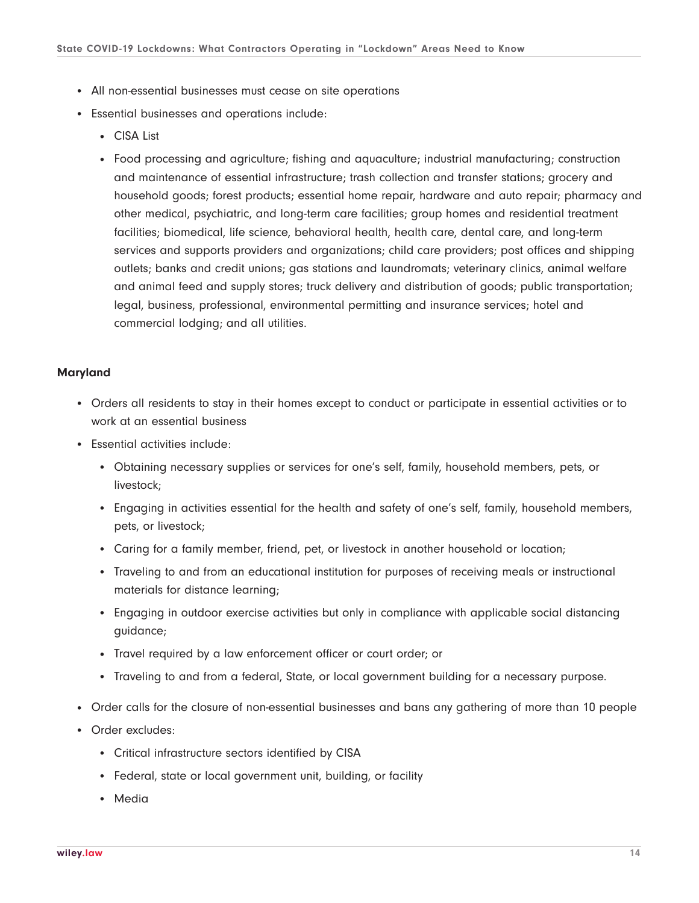- All non-essential businesses must cease on site operations
- Essential businesses and operations include:
	- CISA List
	- Food processing and agriculture; fishing and aquaculture; industrial manufacturing; construction and maintenance of essential infrastructure; trash collection and transfer stations; grocery and household goods; forest products; essential home repair, hardware and auto repair; pharmacy and other medical, psychiatric, and long-term care facilities; group homes and residential treatment facilities; biomedical, life science, behavioral health, health care, dental care, and long-term services and supports providers and organizations; child care providers; post offices and shipping outlets; banks and credit unions; gas stations and laundromats; veterinary clinics, animal welfare and animal feed and supply stores; truck delivery and distribution of goods; public transportation; legal, business, professional, environmental permitting and insurance services; hotel and commercial lodging; and all utilities.

# **Maryland**

- Orders all residents to stay in their homes except to conduct or participate in essential activities or to work at an essential business
- Essential activities include:
	- Obtaining necessary supplies or services for one's self, family, household members, pets, or livestock;
	- Engaging in activities essential for the health and safety of one's self, family, household members, pets, or livestock;
	- Caring for a family member, friend, pet, or livestock in another household or location;
	- Traveling to and from an educational institution for purposes of receiving meals or instructional materials for distance learning;
	- Engaging in outdoor exercise activities but only in compliance with applicable social distancing guidance;
	- Travel required by a law enforcement officer or court order; or
	- Traveling to and from a federal, State, or local government building for a necessary purpose.
- Order calls for the closure of non-essential businesses and bans any gathering of more than 10 people
- Order excludes:
	- Critical infrastructure sectors identified by CISA
	- Federal, state or local government unit, building, or facility
	- Media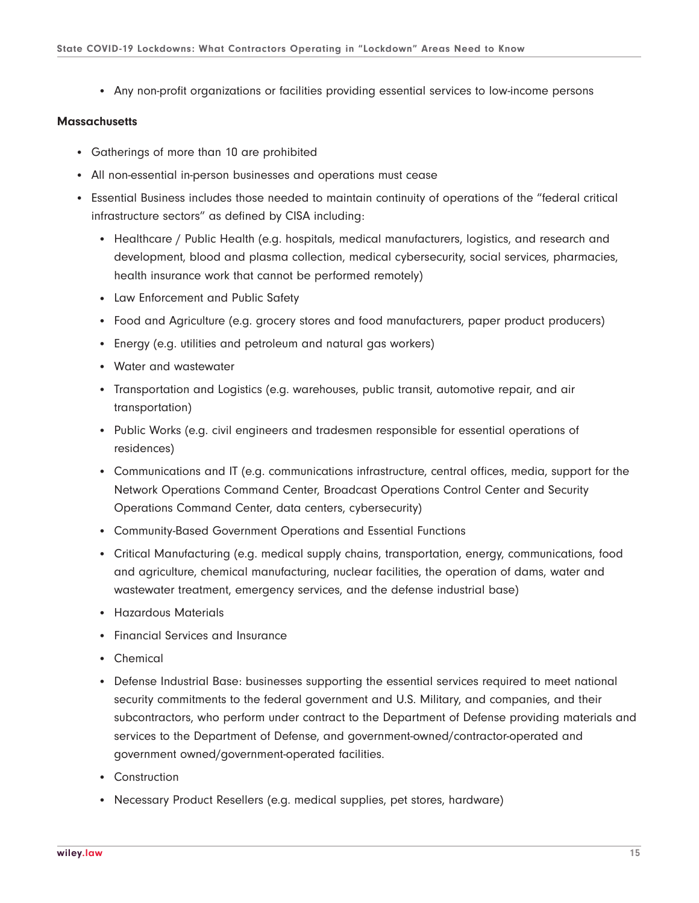• Any non-profit organizations or facilities providing essential services to low-income persons

### **Massachusetts**

- Gatherings of more than 10 are prohibited
- All non-essential in-person businesses and operations must cease
- Essential Business includes those needed to maintain continuity of operations of the "federal critical infrastructure sectors" as defined by CISA including:
	- Healthcare / Public Health (e.g. hospitals, medical manufacturers, logistics, and research and development, blood and plasma collection, medical cybersecurity, social services, pharmacies, health insurance work that cannot be performed remotely)
	- Law Enforcement and Public Safety
	- Food and Agriculture (e.g. grocery stores and food manufacturers, paper product producers)
	- Energy (e.g. utilities and petroleum and natural gas workers)
	- Water and wastewater
	- Transportation and Logistics (e.g. warehouses, public transit, automotive repair, and air transportation)
	- Public Works (e.g. civil engineers and tradesmen responsible for essential operations of residences)
	- Communications and IT (e.g. communications infrastructure, central offices, media, support for the Network Operations Command Center, Broadcast Operations Control Center and Security Operations Command Center, data centers, cybersecurity)
	- Community-Based Government Operations and Essential Functions
	- Critical Manufacturing (e.g. medical supply chains, transportation, energy, communications, food and agriculture, chemical manufacturing, nuclear facilities, the operation of dams, water and wastewater treatment, emergency services, and the defense industrial base)
	- Hazardous Materials
	- Financial Services and Insurance
	- Chemical
	- Defense Industrial Base: businesses supporting the essential services required to meet national security commitments to the federal government and U.S. Military, and companies, and their subcontractors, who perform under contract to the Department of Defense providing materials and services to the Department of Defense, and government-owned/contractor-operated and government owned/government-operated facilities.
	- Construction
	- Necessary Product Resellers (e.g. medical supplies, pet stores, hardware)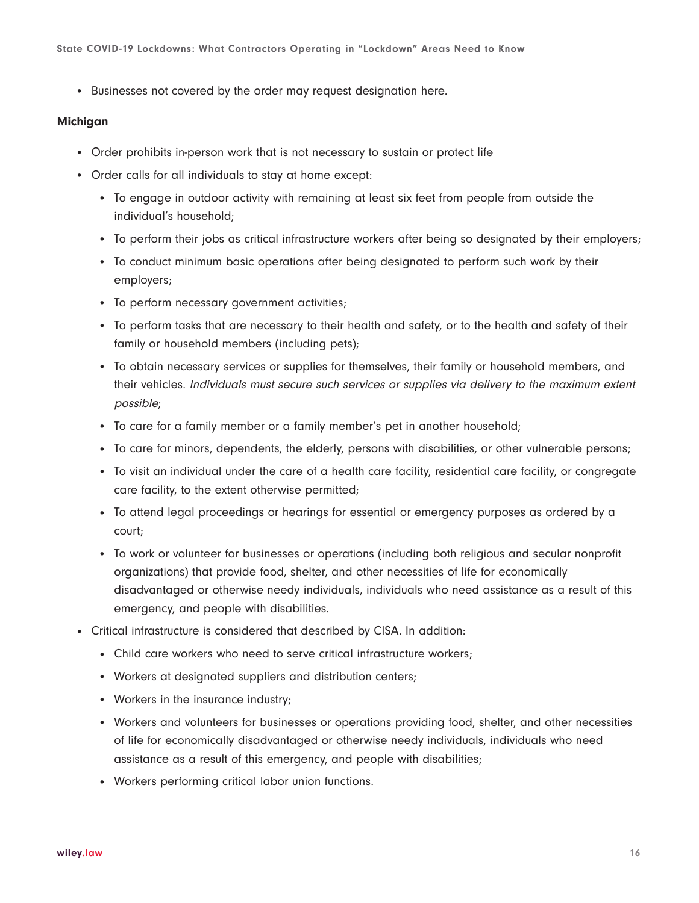• Businesses not covered by the order may request designation here.

#### **Michigan**

- Order prohibits in-person work that is not necessary to sustain or protect life
- Order calls for all individuals to stay at home except:
	- To engage in outdoor activity with remaining at least six feet from people from outside the individual's household;
	- To perform their jobs as critical infrastructure workers after being so designated by their employers;
	- To conduct minimum basic operations after being designated to perform such work by their employers;
	- To perform necessary government activities;
	- To perform tasks that are necessary to their health and safety, or to the health and safety of their family or household members (including pets);
	- To obtain necessary services or supplies for themselves, their family or household members, and their vehicles. Individuals must secure such services or supplies via delivery to the maximum extent possible;
	- To care for a family member or a family member's pet in another household;
	- To care for minors, dependents, the elderly, persons with disabilities, or other vulnerable persons;
	- To visit an individual under the care of a health care facility, residential care facility, or congregate care facility, to the extent otherwise permitted;
	- To attend legal proceedings or hearings for essential or emergency purposes as ordered by a court;
	- To work or volunteer for businesses or operations (including both religious and secular nonprofit organizations) that provide food, shelter, and other necessities of life for economically disadvantaged or otherwise needy individuals, individuals who need assistance as a result of this emergency, and people with disabilities.
- Critical infrastructure is considered that described by CISA. In addition:
	- Child care workers who need to serve critical infrastructure workers;
	- Workers at designated suppliers and distribution centers;
	- Workers in the insurance industry;
	- Workers and volunteers for businesses or operations providing food, shelter, and other necessities of life for economically disadvantaged or otherwise needy individuals, individuals who need assistance as a result of this emergency, and people with disabilities;
	- Workers performing critical labor union functions.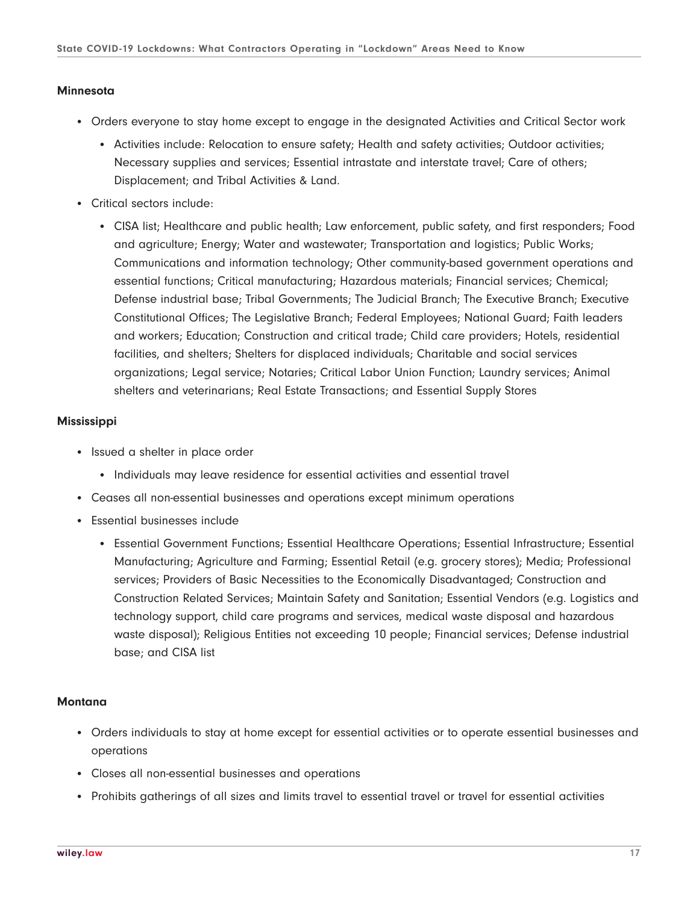#### **Minnesota**

- Orders everyone to stay home except to engage in the designated Activities and Critical Sector work
	- Activities include: Relocation to ensure safety; Health and safety activities; Outdoor activities; Necessary supplies and services; Essential intrastate and interstate travel; Care of others; Displacement; and Tribal Activities & Land.
- Critical sectors include:
	- CISA list; Healthcare and public health; Law enforcement, public safety, and first responders; Food and agriculture; Energy; Water and wastewater; Transportation and logistics; Public Works; Communications and information technology; Other community-based government operations and essential functions; Critical manufacturing; Hazardous materials; Financial services; Chemical; Defense industrial base; Tribal Governments; The Judicial Branch; The Executive Branch; Executive Constitutional Offices; The Legislative Branch; Federal Employees; National Guard; Faith leaders and workers; Education; Construction and critical trade; Child care providers; Hotels, residential facilities, and shelters; Shelters for displaced individuals; Charitable and social services organizations; Legal service; Notaries; Critical Labor Union Function; Laundry services; Animal shelters and veterinarians; Real Estate Transactions; and Essential Supply Stores

#### **Mississippi**

- Issued a shelter in place order
	- Individuals may leave residence for essential activities and essential travel
- Ceases all non-essential businesses and operations except minimum operations
- Essential businesses include
	- Essential Government Functions; Essential Healthcare Operations; Essential Infrastructure; Essential Manufacturing; Agriculture and Farming; Essential Retail (e.g. grocery stores); Media; Professional services; Providers of Basic Necessities to the Economically Disadvantaged; Construction and Construction Related Services; Maintain Safety and Sanitation; Essential Vendors (e.g. Logistics and technology support, child care programs and services, medical waste disposal and hazardous waste disposal); Religious Entities not exceeding 10 people; Financial services; Defense industrial base; and CISA list

#### **Montana**

- Orders individuals to stay at home except for essential activities or to operate essential businesses and operations
- Closes all non-essential businesses and operations
- Prohibits gatherings of all sizes and limits travel to essential travel or travel for essential activities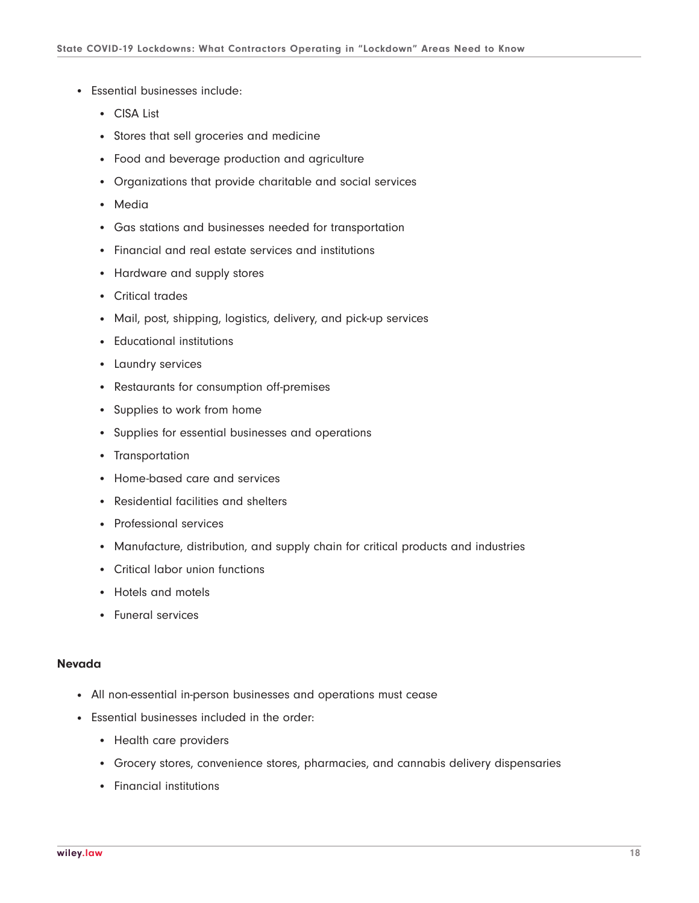- Essential businesses include:
	- CISA List
	- Stores that sell groceries and medicine
	- Food and beverage production and agriculture
	- Organizations that provide charitable and social services
	- Media
	- Gas stations and businesses needed for transportation
	- Financial and real estate services and institutions
	- Hardware and supply stores
	- Critical trades
	- Mail, post, shipping, logistics, delivery, and pick-up services
	- Educational institutions
	- Laundry services
	- Restaurants for consumption off-premises
	- Supplies to work from home
	- Supplies for essential businesses and operations
	- Transportation
	- Home-based care and services
	- Residential facilities and shelters
	- Professional services
	- Manufacture, distribution, and supply chain for critical products and industries
	- Critical labor union functions
	- Hotels and motels
	- Funeral services

#### **Nevada**

- All non-essential in-person businesses and operations must cease
- Essential businesses included in the order:
	- Health care providers
	- Grocery stores, convenience stores, pharmacies, and cannabis delivery dispensaries
	- Financial institutions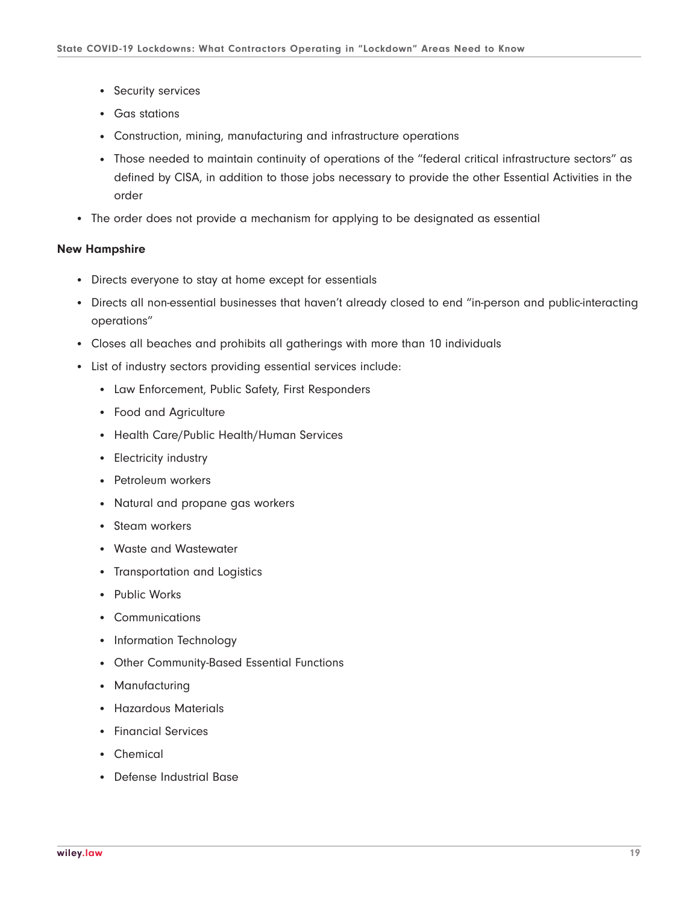- Security services
- Gas stations
- Construction, mining, manufacturing and infrastructure operations
- Those needed to maintain continuity of operations of the "federal critical infrastructure sectors" as defined by CISA, in addition to those jobs necessary to provide the other Essential Activities in the order
- The order does not provide a mechanism for applying to be designated as essential

#### **New Hampshire**

- Directs everyone to stay at home except for essentials
- Directs all non-essential businesses that haven't already closed to end "in-person and public-interacting operations"
- Closes all beaches and prohibits all gatherings with more than 10 individuals
- List of industry sectors providing essential services include:
	- Law Enforcement, Public Safety, First Responders
	- Food and Agriculture
	- Health Care/Public Health/Human Services
	- Electricity industry
	- Petroleum workers
	- Natural and propane gas workers
	- Steam workers
	- Waste and Wastewater
	- Transportation and Logistics
	- Public Works
	- Communications
	- Information Technology
	- Other Community-Based Essential Functions
	- Manufacturing
	- Hazardous Materials
	- Financial Services
	- Chemical
	- Defense Industrial Base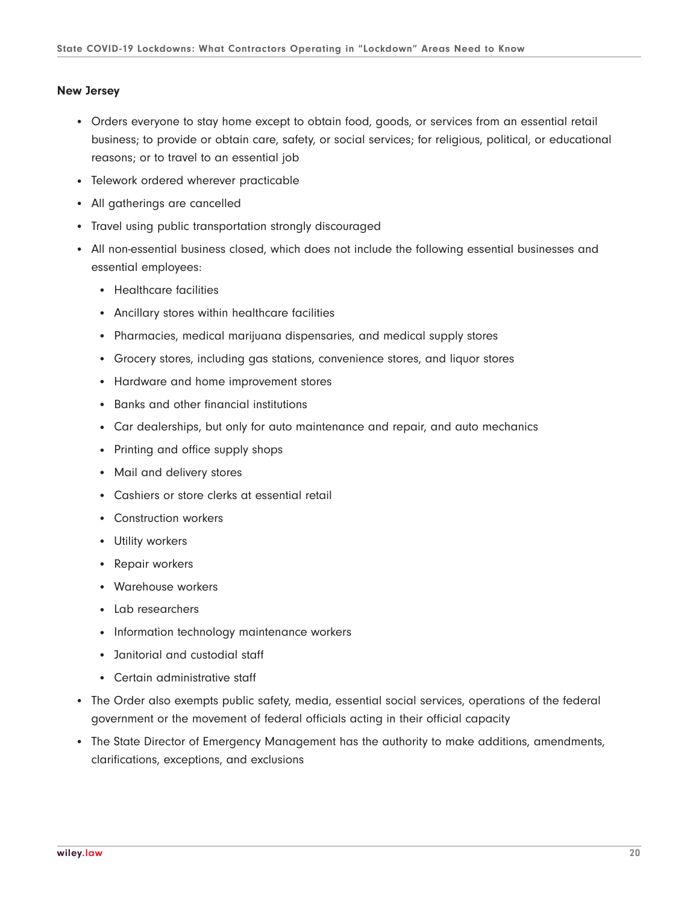#### **New Jersey**

- Orders everyone to stay home except to obtain food, goods, or services from an essential retail business; to provide or obtain care, safety, or social services; for religious, political, or educational reasons; or to travel to an essential job
- Telework ordered wherever practicable
- All gatherings are cancelled
- Travel using public transportation strongly discouraged
- All non-essential business closed, which does not include the following essential businesses and essential employees:
	- Healthcare facilities
	- Ancillary stores within healthcare facilities
	- Pharmacies, medical marijuana dispensaries, and medical supply stores
	- Grocery stores, including gas stations, convenience stores, and liquor stores
	- Hardware and home improvement stores
	- Banks and other financial institutions
	- Car dealerships, but only for auto maintenance and repair, and auto mechanics
	- Printing and office supply shops
	- Mail and delivery stores
	- Cashiers or store clerks at essential retail
	- Construction workers
	- Utility workers
	- Repair workers
	- Warehouse workers
	- Lab researchers
	- Information technology maintenance workers
	- Janitorial and custodial staff
	- Certain administrative staff
- The Order also exempts public safety, media, essential social services, operations of the federal government or the movement of federal officials acting in their official capacity
- The State Director of Emergency Management has the authority to make additions, amendments, clarifications, exceptions, and exclusions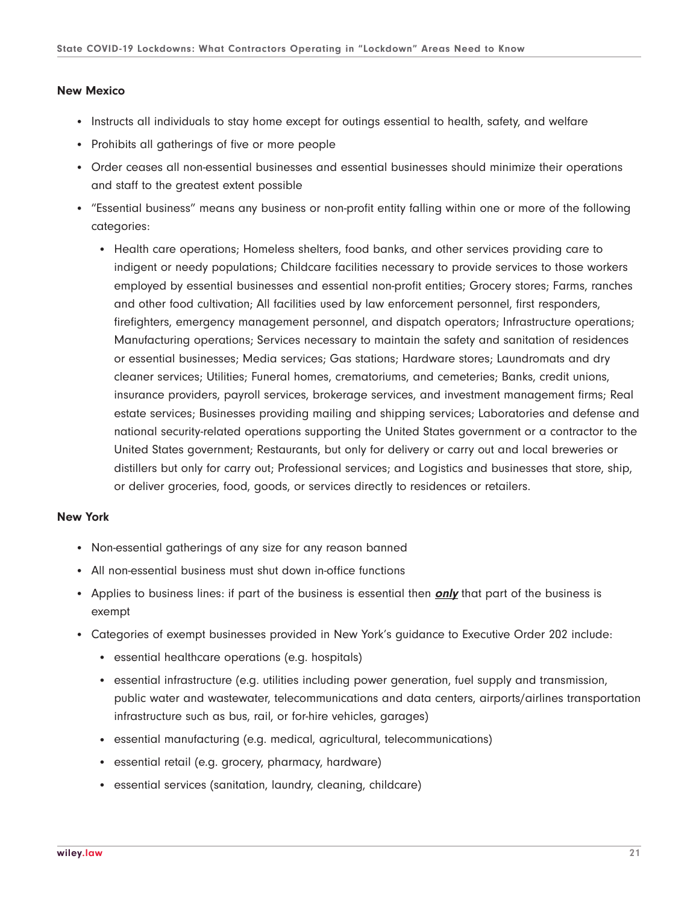# **New Mexico**

- Instructs all individuals to stay home except for outings essential to health, safety, and welfare
- Prohibits all gatherings of five or more people
- Order ceases all non-essential businesses and essential businesses should minimize their operations and staff to the greatest extent possible
- "Essential business" means any business or non-profit entity falling within one or more of the following categories:
	- Health care operations; Homeless shelters, food banks, and other services providing care to indigent or needy populations; Childcare facilities necessary to provide services to those workers employed by essential businesses and essential non-profit entities; Grocery stores; Farms, ranches and other food cultivation; All facilities used by law enforcement personnel, first responders, firefighters, emergency management personnel, and dispatch operators; Infrastructure operations; Manufacturing operations; Services necessary to maintain the safety and sanitation of residences or essential businesses; Media services; Gas stations; Hardware stores; Laundromats and dry cleaner services; Utilities; Funeral homes, crematoriums, and cemeteries; Banks, credit unions, insurance providers, payroll services, brokerage services, and investment management firms; Real estate services; Businesses providing mailing and shipping services; Laboratories and defense and national security-related operations supporting the United States government or a contractor to the United States government; Restaurants, but only for delivery or carry out and local breweries or distillers but only for carry out; Professional services; and Logistics and businesses that store, ship, or deliver groceries, food, goods, or services directly to residences or retailers.

# **New York**

- Non-essential gatherings of any size for any reason banned
- All non-essential business must shut down in-office functions
- Applies to business lines: if part of the business is essential then **only** that part of the business is exempt
- Categories of exempt businesses provided in New York's guidance to Executive Order 202 include:
	- essential healthcare operations (e.g. hospitals)
	- essential infrastructure (e.g. utilities including power generation, fuel supply and transmission, public water and wastewater, telecommunications and data centers, airports/airlines transportation infrastructure such as bus, rail, or for-hire vehicles, garages)
	- essential manufacturing (e.g. medical, agricultural, telecommunications)
	- essential retail (e.g. grocery, pharmacy, hardware)
	- essential services (sanitation, laundry, cleaning, childcare)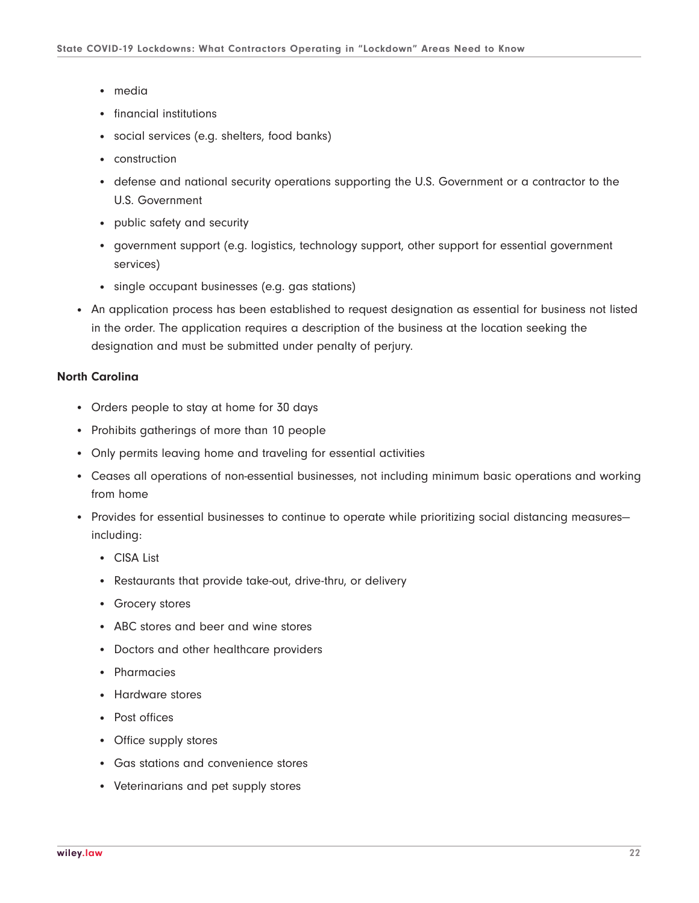- media
- financial institutions
- social services (e.g. shelters, food banks)
- construction
- defense and national security operations supporting the U.S. Government or a contractor to the U.S. Government
- public safety and security
- government support (e.g. logistics, technology support, other support for essential government services)
- single occupant businesses (e.g. gas stations)
- An application process has been established to request designation as essential for business not listed in the order. The application requires a description of the business at the location seeking the designation and must be submitted under penalty of perjury.

### **North Carolina**

- Orders people to stay at home for 30 days
- Prohibits gatherings of more than 10 people
- Only permits leaving home and traveling for essential activities
- Ceases all operations of non-essential businesses, not including minimum basic operations and working from home
- Provides for essential businesses to continue to operate while prioritizing social distancing measuresincluding:
	- CISA List
	- Restaurants that provide take-out, drive-thru, or delivery
	- Grocery stores
	- ABC stores and beer and wine stores
	- Doctors and other healthcare providers
	- Pharmacies
	- Hardware stores
	- Post offices
	- Office supply stores
	- Gas stations and convenience stores
	- Veterinarians and pet supply stores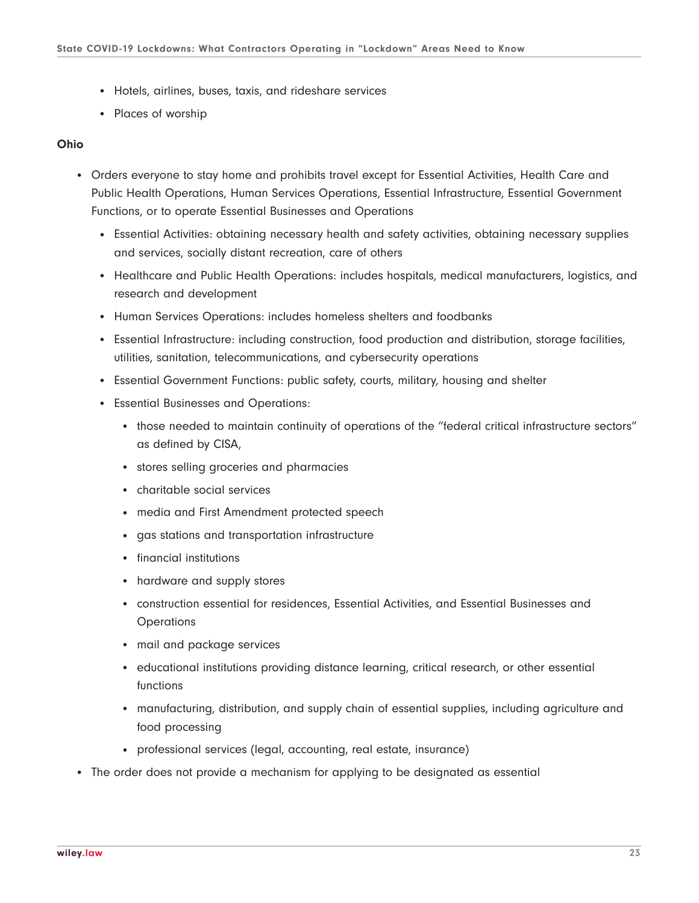- Hotels, airlines, buses, taxis, and rideshare services
- Places of worship

## **Ohio**

- Orders everyone to stay home and prohibits travel except for Essential Activities, Health Care and Public Health Operations, Human Services Operations, Essential Infrastructure, Essential Government Functions, or to operate Essential Businesses and Operations
	- Essential Activities: obtaining necessary health and safety activities, obtaining necessary supplies and services, socially distant recreation, care of others
	- Healthcare and Public Health Operations: includes hospitals, medical manufacturers, logistics, and research and development
	- Human Services Operations: includes homeless shelters and foodbanks
	- Essential Infrastructure: including construction, food production and distribution, storage facilities, utilities, sanitation, telecommunications, and cybersecurity operations
	- Essential Government Functions: public safety, courts, military, housing and shelter
	- Essential Businesses and Operations:
		- those needed to maintain continuity of operations of the "federal critical infrastructure sectors" as defined by CISA,
		- stores selling groceries and pharmacies
		- charitable social services
		- media and First Amendment protected speech
		- gas stations and transportation infrastructure
		- financial institutions
		- hardware and supply stores
		- construction essential for residences, Essential Activities, and Essential Businesses and **Operations**
		- mail and package services
		- educational institutions providing distance learning, critical research, or other essential functions
		- manufacturing, distribution, and supply chain of essential supplies, including agriculture and food processing
		- professional services (legal, accounting, real estate, insurance)
- The order does not provide a mechanism for applying to be designated as essential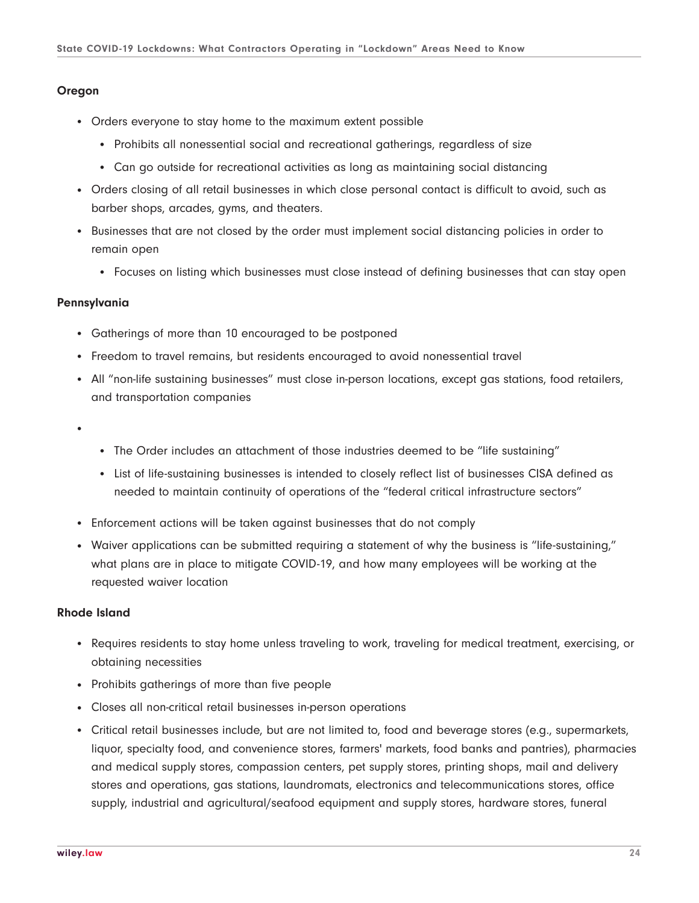#### **Oregon**

- Orders everyone to stay home to the maximum extent possible
	- Prohibits all nonessential social and recreational gatherings, regardless of size
	- Can go outside for recreational activities as long as maintaining social distancing
- Orders closing of all retail businesses in which close personal contact is difficult to avoid, such as barber shops, arcades, gyms, and theaters.
- Businesses that are not closed by the order must implement social distancing policies in order to remain open
	- Focuses on listing which businesses must close instead of defining businesses that can stay open

#### **Pennsylvania**

- Gatherings of more than 10 encouraged to be postponed
- Freedom to travel remains, but residents encouraged to avoid nonessential travel
- All "non-life sustaining businesses" must close in-person locations, except gas stations, food retailers, and transportation companies
- ●
- The Order includes an attachment of those industries deemed to be "life sustaining"
- List of life-sustaining businesses is intended to closely reflect list of businesses CISA defined as needed to maintain continuity of operations of the "federal critical infrastructure sectors"
- Enforcement actions will be taken against businesses that do not comply
- Waiver applications can be submitted requiring a statement of why the business is "life-sustaining," what plans are in place to mitigate COVID-19, and how many employees will be working at the requested waiver location

#### **Rhode Island**

- Requires residents to stay home unless traveling to work, traveling for medical treatment, exercising, or obtaining necessities
- Prohibits gatherings of more than five people
- Closes all non-critical retail businesses in-person operations
- Critical retail businesses include, but are not limited to, food and beverage stores (e.g., supermarkets, liquor, specialty food, and convenience stores, farmers' markets, food banks and pantries), pharmacies and medical supply stores, compassion centers, pet supply stores, printing shops, mail and delivery stores and operations, gas stations, laundromats, electronics and telecommunications stores, office supply, industrial and agricultural/seafood equipment and supply stores, hardware stores, funeral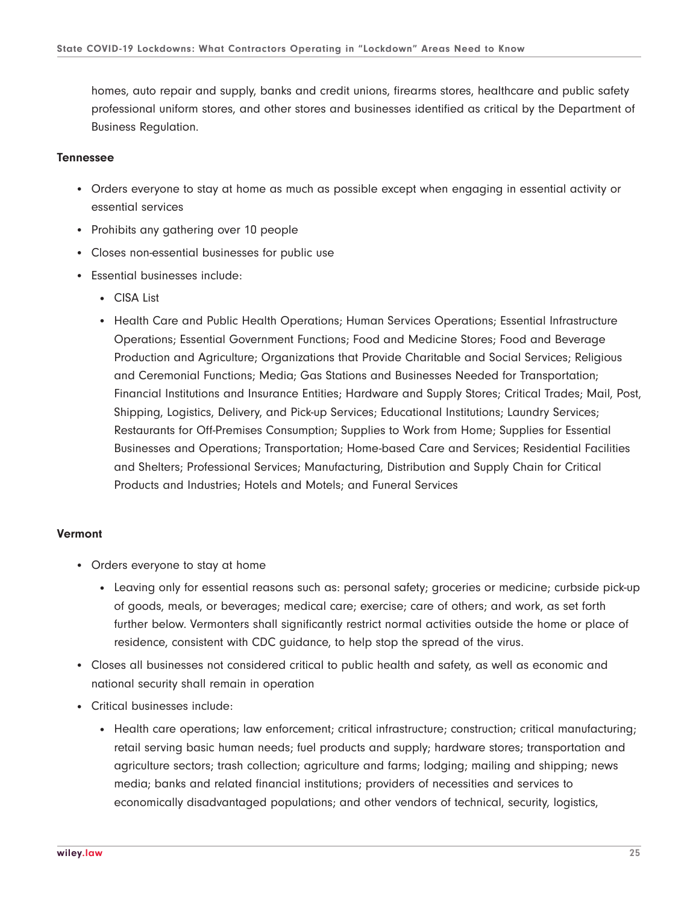homes, auto repair and supply, banks and credit unions, firearms stores, healthcare and public safety professional uniform stores, and other stores and businesses identified as critical by the Department of Business Regulation.

## **Tennessee**

- Orders everyone to stay at home as much as possible except when engaging in essential activity or essential services
- Prohibits any gathering over 10 people
- Closes non-essential businesses for public use
- Essential businesses include:
	- CISA List
	- Health Care and Public Health Operations; Human Services Operations; Essential Infrastructure Operations; Essential Government Functions; Food and Medicine Stores; Food and Beverage Production and Agriculture; Organizations that Provide Charitable and Social Services; Religious and Ceremonial Functions; Media; Gas Stations and Businesses Needed for Transportation; Financial Institutions and Insurance Entities; Hardware and Supply Stores; Critical Trades; Mail, Post, Shipping, Logistics, Delivery, and Pick-up Services; Educational Institutions; Laundry Services; Restaurants for Off-Premises Consumption; Supplies to Work from Home; Supplies for Essential Businesses and Operations; Transportation; Home-based Care and Services; Residential Facilities and Shelters; Professional Services; Manufacturing, Distribution and Supply Chain for Critical Products and Industries; Hotels and Motels; and Funeral Services

# **Vermont**

- Orders everyone to stay at home
	- Leaving only for essential reasons such as: personal safety; groceries or medicine; curbside pick-up of goods, meals, or beverages; medical care; exercise; care of others; and work, as set forth further below. Vermonters shall significantly restrict normal activities outside the home or place of residence, consistent with CDC guidance, to help stop the spread of the virus.
- Closes all businesses not considered critical to public health and safety, as well as economic and national security shall remain in operation
- Critical businesses include:
	- Health care operations; law enforcement; critical infrastructure; construction; critical manufacturing; retail serving basic human needs; fuel products and supply; hardware stores; transportation and agriculture sectors; trash collection; agriculture and farms; lodging; mailing and shipping; news media; banks and related financial institutions; providers of necessities and services to economically disadvantaged populations; and other vendors of technical, security, logistics,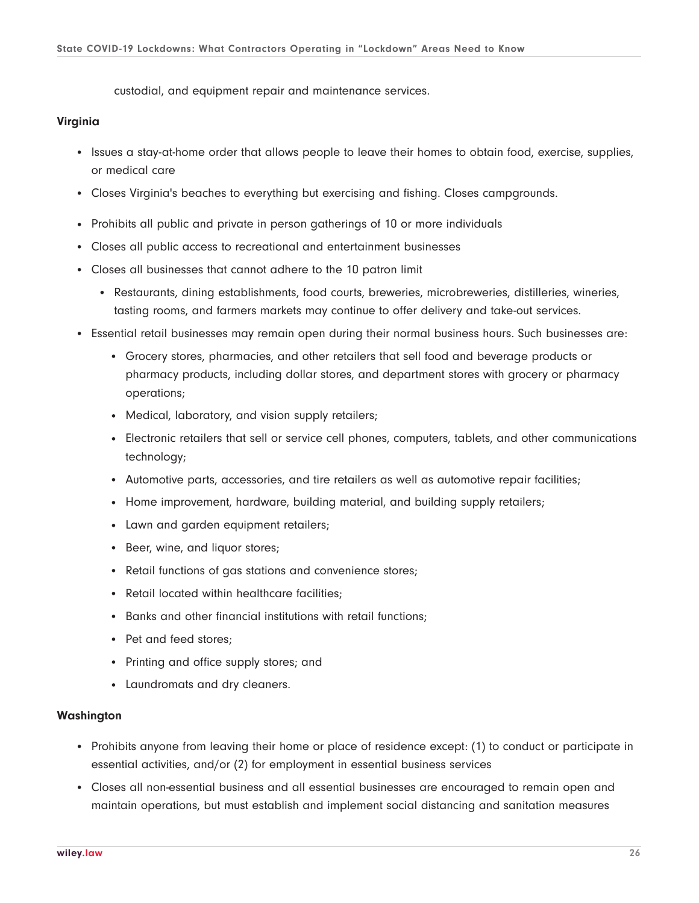custodial, and equipment repair and maintenance services.

# **Virginia**

- Issues a stay-at-home order that allows people to leave their homes to obtain food, exercise, supplies, or medical care
- Closes Virginia's beaches to everything but exercising and fishing. Closes campgrounds.
- Prohibits all public and private in person gatherings of 10 or more individuals
- Closes all public access to recreational and entertainment businesses
- Closes all businesses that cannot adhere to the 10 patron limit
	- Restaurants, dining establishments, food courts, breweries, microbreweries, distilleries, wineries, tasting rooms, and farmers markets may continue to offer delivery and take-out services.
- Essential retail businesses may remain open during their normal business hours. Such businesses are:
	- Grocery stores, pharmacies, and other retailers that sell food and beverage products or pharmacy products, including dollar stores, and department stores with grocery or pharmacy operations;
	- Medical, laboratory, and vision supply retailers;
	- Electronic retailers that sell or service cell phones, computers, tablets, and other communications technology;
	- Automotive parts, accessories, and tire retailers as well as automotive repair facilities;
	- Home improvement, hardware, building material, and building supply retailers;
	- Lawn and garden equipment retailers;
	- Beer, wine, and liquor stores;
	- Retail functions of gas stations and convenience stores;
	- Retail located within healthcare facilities;
	- Banks and other financial institutions with retail functions;
	- Pet and feed stores;
	- Printing and office supply stores; and
	- Laundromats and dry cleaners.

#### **Washington**

- Prohibits anyone from leaving their home or place of residence except: (1) to conduct or participate in essential activities, and/or (2) for employment in essential business services
- Closes all non-essential business and all essential businesses are encouraged to remain open and maintain operations, but must establish and implement social distancing and sanitation measures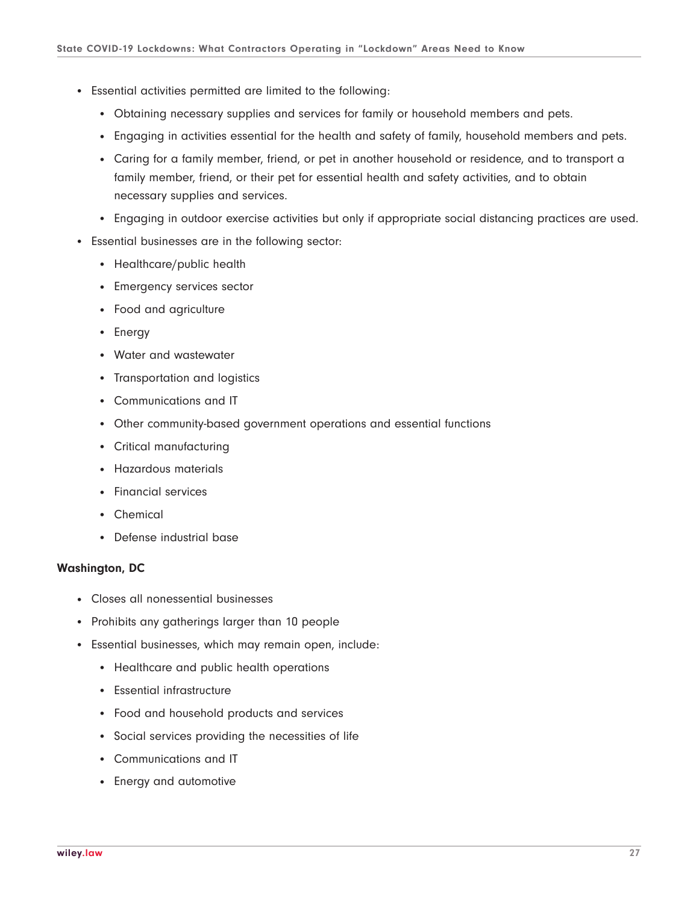- Essential activities permitted are limited to the following:
	- Obtaining necessary supplies and services for family or household members and pets.
	- Engaging in activities essential for the health and safety of family, household members and pets.
	- Caring for a family member, friend, or pet in another household or residence, and to transport a family member, friend, or their pet for essential health and safety activities, and to obtain necessary supplies and services.
	- Engaging in outdoor exercise activities but only if appropriate social distancing practices are used.
- Essential businesses are in the following sector:
	- Healthcare/public health
	- Emergency services sector
	- Food and agriculture
	- Energy
	- Water and wastewater
	- Transportation and logistics
	- Communications and IT
	- Other community-based government operations and essential functions
	- Critical manufacturing
	- Hazardous materials
	- Financial services
	- Chemical
	- Defense industrial base

# **Washington, DC**

- Closes all nonessential businesses
- Prohibits any gatherings larger than 10 people
- Essential businesses, which may remain open, include:
	- Healthcare and public health operations
	- Essential infrastructure
	- Food and household products and services
	- Social services providing the necessities of life
	- Communications and IT
	- Energy and automotive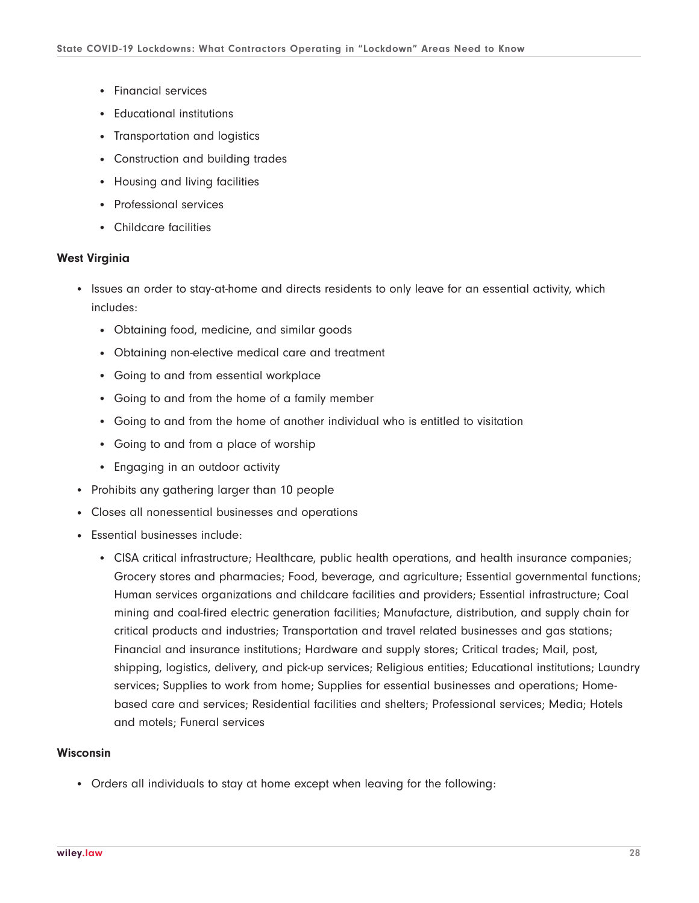- Financial services
- Educational institutions
- Transportation and logistics
- Construction and building trades
- Housing and living facilities
- Professional services
- Childcare facilities

#### **West Virginia**

- Issues an order to stay-at-home and directs residents to only leave for an essential activity, which includes:
	- Obtaining food, medicine, and similar goods
	- Obtaining non-elective medical care and treatment
	- Going to and from essential workplace
	- Going to and from the home of a family member
	- Going to and from the home of another individual who is entitled to visitation
	- Going to and from a place of worship
	- Engaging in an outdoor activity
- Prohibits any gathering larger than 10 people
- Closes all nonessential businesses and operations
- Essential businesses include:
	- CISA critical infrastructure; Healthcare, public health operations, and health insurance companies; Grocery stores and pharmacies; Food, beverage, and agriculture; Essential governmental functions; Human services organizations and childcare facilities and providers; Essential infrastructure; Coal mining and coal-fired electric generation facilities; Manufacture, distribution, and supply chain for critical products and industries; Transportation and travel related businesses and gas stations; Financial and insurance institutions; Hardware and supply stores; Critical trades; Mail, post, shipping, logistics, delivery, and pick-up services; Religious entities; Educational institutions; Laundry services; Supplies to work from home; Supplies for essential businesses and operations; Homebased care and services; Residential facilities and shelters; Professional services; Media; Hotels and motels; Funeral services

# **Wisconsin**

• Orders all individuals to stay at home except when leaving for the following: